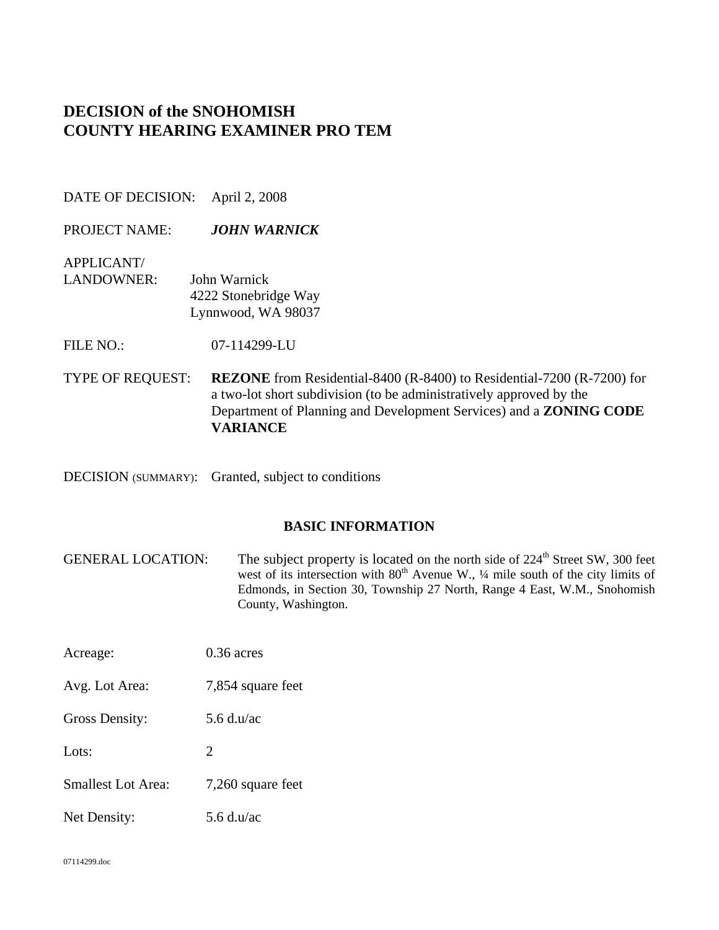# **DECISION of the SNOHOMISH COUNTY HEARING EXAMINER PRO TEM**

DATE OF DECISION: April 2, 2008

PROJECT NAME: *JOHN WARNICK*

APPLICANT/

LANDOWNER: John Warnick 4222 Stonebridge Way Lynnwood, WA 98037

FILE NO.: 07-114299-LU

TYPE OF REQUEST: **REZONE** from Residential-8400 (R-8400) to Residential-7200 (R-7200) for a two-lot short subdivision (to be administratively approved by the Department of Planning and Development Services) and a **ZONING CODE VARIANCE**

DECISION (SUMMARY): Granted, subject to conditions

### **BASIC INFORMATION**

GENERAL LOCATION: The subject property is located on the north side of 224<sup>th</sup> Street SW, 300 feet west of its intersection with  $80<sup>th</sup>$  Avenue W.,  $\frac{1}{4}$  mile south of the city limits of Edmonds, in Section 30, Township 27 North, Range 4 East, W.M., Snohomish County, Washington.

Acreage: 0.36 acres

Avg. Lot Area: 7,854 square feet

Gross Density: 5.6 d.u/ac

Lots: 2

Net Density: 5.6 d.u/ac

07114299.doc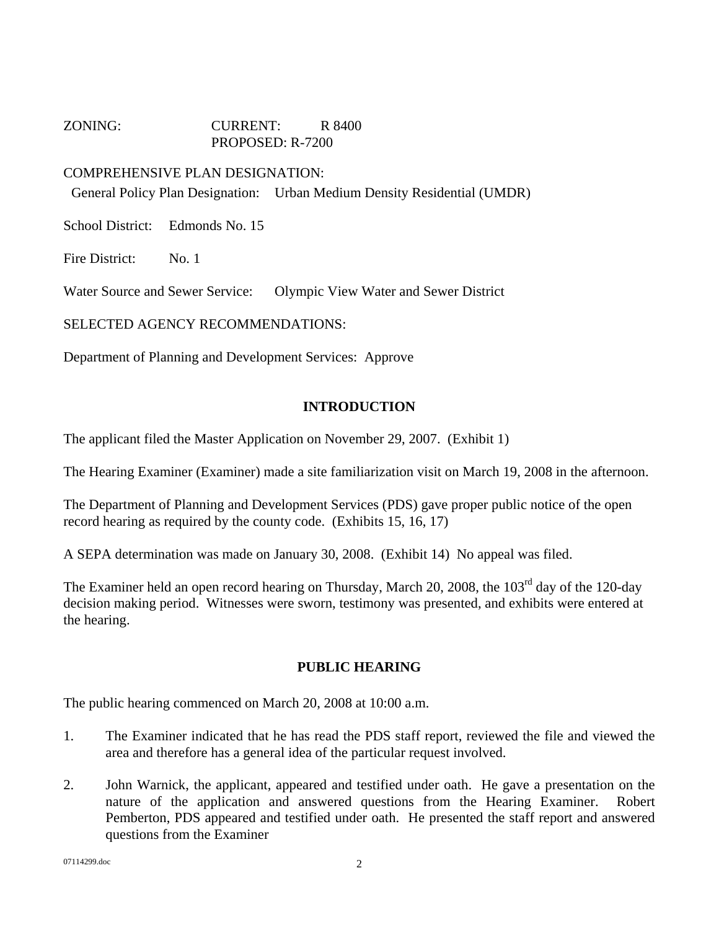## ZONING: CURRENT: R 8400 PROPOSED: R-7200

## COMPREHENSIVE PLAN DESIGNATION:

General Policy Plan Designation: Urban Medium Density Residential (UMDR)

School District: Edmonds No. 15

Fire District: No. 1

Water Source and Sewer Service: Olympic View Water and Sewer District

SELECTED AGENCY RECOMMENDATIONS:

Department of Planning and Development Services: Approve

### **INTRODUCTION**

The applicant filed the Master Application on November 29, 2007. (Exhibit 1)

The Hearing Examiner (Examiner) made a site familiarization visit on March 19, 2008 in the afternoon.

The Department of Planning and Development Services (PDS) gave proper public notice of the open record hearing as required by the county code. (Exhibits 15, 16, 17)

A SEPA determination was made on January 30, 2008. (Exhibit 14) No appeal was filed.

The Examiner held an open record hearing on Thursday, March 20, 2008, the 103<sup>rd</sup> day of the 120-day decision making period. Witnesses were sworn, testimony was presented, and exhibits were entered at the hearing.

### **PUBLIC HEARING**

The public hearing commenced on March 20, 2008 at 10:00 a.m.

- 1. The Examiner indicated that he has read the PDS staff report, reviewed the file and viewed the area and therefore has a general idea of the particular request involved.
- 2. John Warnick, the applicant, appeared and testified under oath. He gave a presentation on the nature of the application and answered questions from the Hearing Examiner. Robert Pemberton, PDS appeared and testified under oath. He presented the staff report and answered questions from the Examiner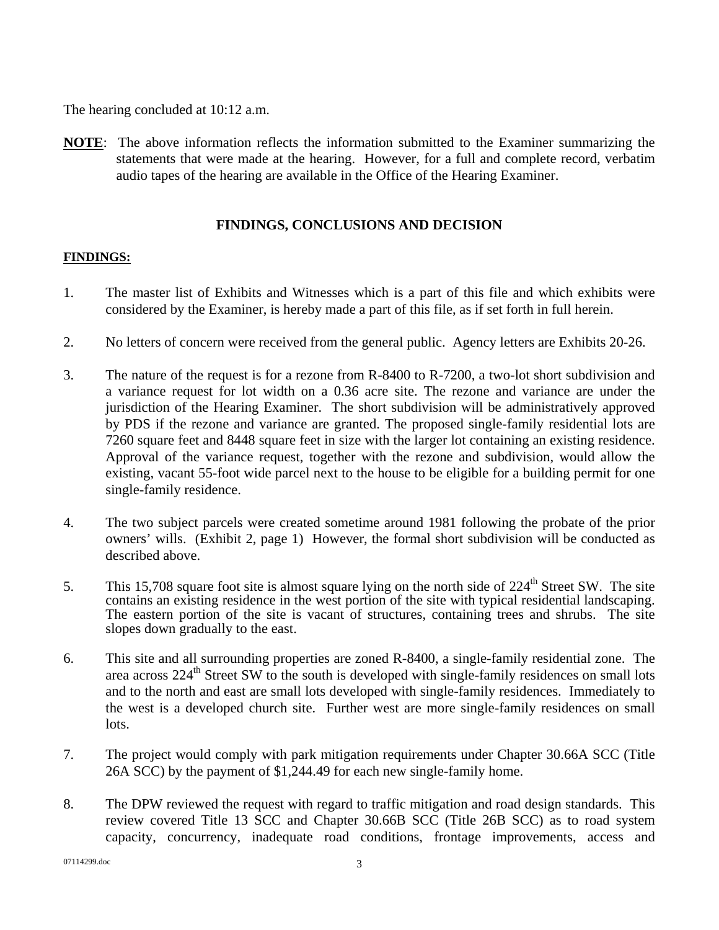The hearing concluded at 10:12 a.m.

**NOTE**: The above information reflects the information submitted to the Examiner summarizing the statements that were made at the hearing. However, for a full and complete record, verbatim audio tapes of the hearing are available in the Office of the Hearing Examiner.

## **FINDINGS, CONCLUSIONS AND DECISION**

## **FINDINGS:**

- 1. The master list of Exhibits and Witnesses which is a part of this file and which exhibits were considered by the Examiner, is hereby made a part of this file, as if set forth in full herein.
- 2. No letters of concern were received from the general public. Agency letters are Exhibits 20-26.
- 3. The nature of the request is for a rezone from R-8400 to R-7200, a two-lot short subdivision and a variance request for lot width on a 0.36 acre site. The rezone and variance are under the jurisdiction of the Hearing Examiner. The short subdivision will be administratively approved by PDS if the rezone and variance are granted. The proposed single-family residential lots are 7260 square feet and 8448 square feet in size with the larger lot containing an existing residence. Approval of the variance request, together with the rezone and subdivision, would allow the existing, vacant 55-foot wide parcel next to the house to be eligible for a building permit for one single-family residence.
- 4. The two subject parcels were created sometime around 1981 following the probate of the prior owners' wills. (Exhibit 2, page 1) However, the formal short subdivision will be conducted as described above.
- 5. This 15,708 square foot site is almost square lying on the north side of  $224<sup>th</sup>$  Street SW. The site contains an existing residence in the west portion of the site with typical residential landscaping. The eastern portion of the site is vacant of structures, containing trees and shrubs. The site slopes down gradually to the east.
- 6. This site and all surrounding properties are zoned R-8400, a single-family residential zone. The area across  $224<sup>th</sup>$  Street SW to the south is developed with single-family residences on small lots and to the north and east are small lots developed with single-family residences. Immediately to the west is a developed church site. Further west are more single-family residences on small lots.
- 7. The project would comply with park mitigation requirements under Chapter 30.66A SCC (Title 26A SCC) by the payment of \$1,244.49 for each new single-family home.
- 8. The DPW reviewed the request with regard to traffic mitigation and road design standards. This review covered Title 13 SCC and Chapter 30.66B SCC (Title 26B SCC) as to road system capacity, concurrency, inadequate road conditions, frontage improvements, access and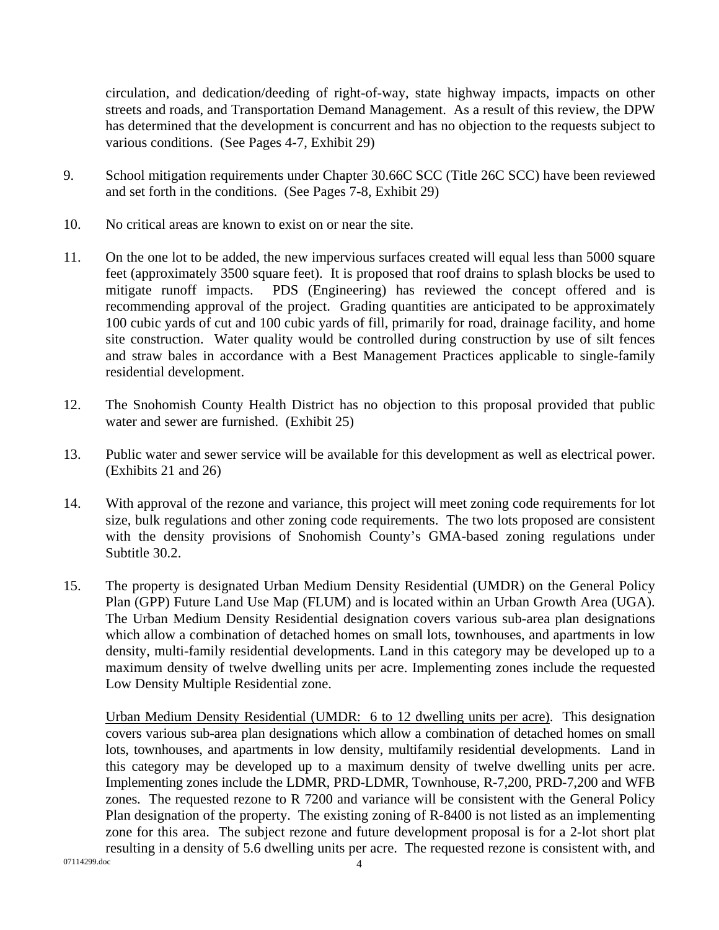circulation, and dedication/deeding of right-of-way, state highway impacts, impacts on other streets and roads, and Transportation Demand Management. As a result of this review, the DPW has determined that the development is concurrent and has no objection to the requests subject to various conditions. (See Pages 4-7, Exhibit 29)

- 9. School mitigation requirements under Chapter 30.66C SCC (Title 26C SCC) have been reviewed and set forth in the conditions. (See Pages 7-8, Exhibit 29)
- 10. No critical areas are known to exist on or near the site.
- 11. On the one lot to be added, the new impervious surfaces created will equal less than 5000 square feet (approximately 3500 square feet). It is proposed that roof drains to splash blocks be used to mitigate runoff impacts. PDS (Engineering) has reviewed the concept offered and is recommending approval of the project. Grading quantities are anticipated to be approximately 100 cubic yards of cut and 100 cubic yards of fill, primarily for road, drainage facility, and home site construction. Water quality would be controlled during construction by use of silt fences and straw bales in accordance with a Best Management Practices applicable to single-family residential development.
- 12. The Snohomish County Health District has no objection to this proposal provided that public water and sewer are furnished. (Exhibit 25)
- 13. Public water and sewer service will be available for this development as well as electrical power. (Exhibits 21 and 26)
- 14. With approval of the rezone and variance, this project will meet zoning code requirements for lot size, bulk regulations and other zoning code requirements. The two lots proposed are consistent with the density provisions of Snohomish County's GMA-based zoning regulations under Subtitle 30.2.
- 15. The property is designated Urban Medium Density Residential (UMDR) on the General Policy Plan (GPP) Future Land Use Map (FLUM) and is located within an Urban Growth Area (UGA). The Urban Medium Density Residential designation covers various sub-area plan designations which allow a combination of detached homes on small lots, townhouses, and apartments in low density, multi-family residential developments. Land in this category may be developed up to a maximum density of twelve dwelling units per acre. Implementing zones include the requested Low Density Multiple Residential zone.

Urban Medium Density Residential (UMDR: 6 to 12 dwelling units per acre). This designation covers various sub-area plan designations which allow a combination of detached homes on small lots, townhouses, and apartments in low density, multifamily residential developments. Land in this category may be developed up to a maximum density of twelve dwelling units per acre. Implementing zones include the LDMR, PRD-LDMR, Townhouse, R-7,200, PRD-7,200 and WFB zones. The requested rezone to R 7200 and variance will be consistent with the General Policy Plan designation of the property. The existing zoning of R-8400 is not listed as an implementing zone for this area. The subject rezone and future development proposal is for a 2-lot short plat resulting in a density of 5.6 dwelling units per acre. The requested rezone is consistent with, and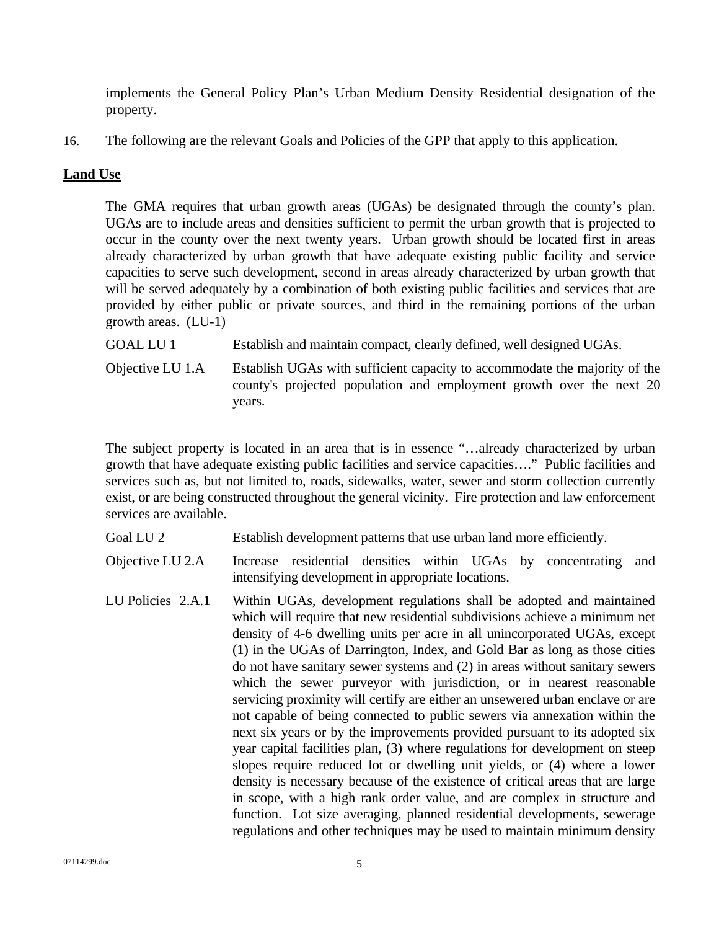implements the General Policy Plan's Urban Medium Density Residential designation of the property.

16. The following are the relevant Goals and Policies of the GPP that apply to this application.

## **Land Use**

The GMA requires that urban growth areas (UGAs) be designated through the county's plan. UGAs are to include areas and densities sufficient to permit the urban growth that is projected to occur in the county over the next twenty years. Urban growth should be located first in areas already characterized by urban growth that have adequate existing public facility and service capacities to serve such development, second in areas already characterized by urban growth that will be served adequately by a combination of both existing public facilities and services that are provided by either public or private sources, and third in the remaining portions of the urban growth areas. (LU-1)

GOAL LU 1 Establish and maintain compact, clearly defined, well designed UGAs.

 Objective LU 1.A Establish UGAs with sufficient capacity to accommodate the majority of the county's projected population and employment growth over the next 20 years.

The subject property is located in an area that is in essence "…already characterized by urban growth that have adequate existing public facilities and service capacities…." Public facilities and services such as, but not limited to, roads, sidewalks, water, sewer and storm collection currently exist, or are being constructed throughout the general vicinity. Fire protection and law enforcement services are available.

Goal LU 2 Establish development patterns that use urban land more efficiently.

Objective LU 2.A Increase residential densities within UGAs by concentrating and intensifying development in appropriate locations.

LU Policies 2.A.1 Within UGAs, development regulations shall be adopted and maintained which will require that new residential subdivisions achieve a minimum net density of 4-6 dwelling units per acre in all unincorporated UGAs, except (1) in the UGAs of Darrington, Index, and Gold Bar as long as those cities do not have sanitary sewer systems and (2) in areas without sanitary sewers which the sewer purveyor with jurisdiction, or in nearest reasonable servicing proximity will certify are either an unsewered urban enclave or are not capable of being connected to public sewers via annexation within the next six years or by the improvements provided pursuant to its adopted six year capital facilities plan, (3) where regulations for development on steep slopes require reduced lot or dwelling unit yields, or (4) where a lower density is necessary because of the existence of critical areas that are large in scope, with a high rank order value, and are complex in structure and function. Lot size averaging, planned residential developments, sewerage regulations and other techniques may be used to maintain minimum density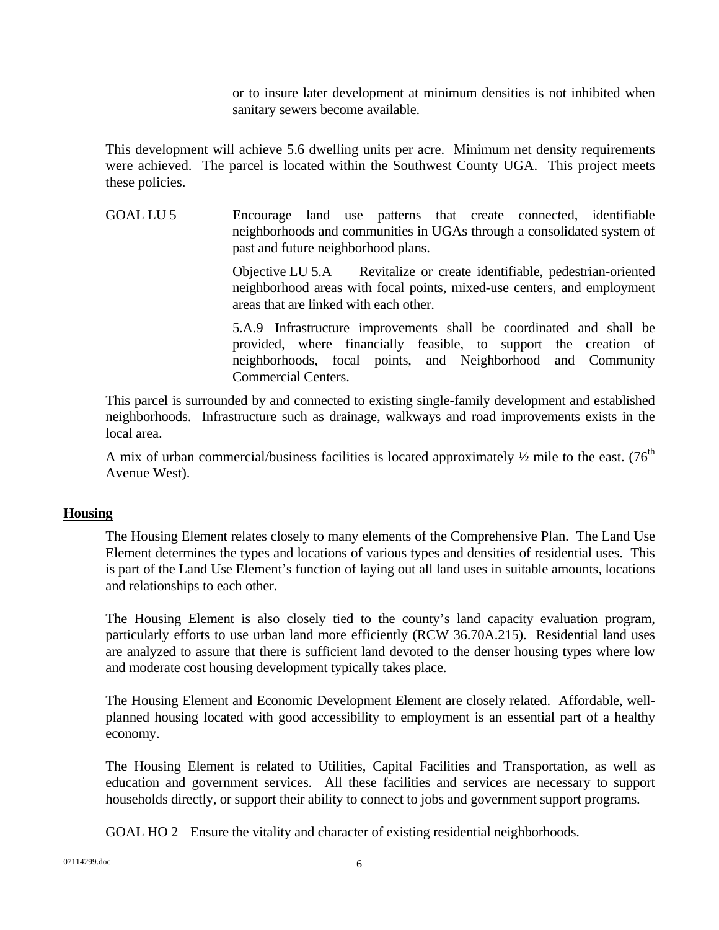or to insure later development at minimum densities is not inhibited when sanitary sewers become available.

This development will achieve 5.6 dwelling units per acre. Minimum net density requirements were achieved. The parcel is located within the Southwest County UGA. This project meets these policies.

GOAL LU 5 Encourage land use patterns that create connected, identifiable neighborhoods and communities in UGAs through a consolidated system of past and future neighborhood plans.

> Objective LU 5.A Revitalize or create identifiable, pedestrian-oriented neighborhood areas with focal points, mixed-use centers, and employment areas that are linked with each other.

> 5.A.9 Infrastructure improvements shall be coordinated and shall be provided, where financially feasible, to support the creation of neighborhoods, focal points, and Neighborhood and Community Commercial Centers.

This parcel is surrounded by and connected to existing single-family development and established neighborhoods. Infrastructure such as drainage, walkways and road improvements exists in the local area.

A mix of urban commercial/business facilities is located approximately  $\frac{1}{2}$  mile to the east. (76<sup>th</sup> Avenue West).

### **Housing**

The Housing Element relates closely to many elements of the Comprehensive Plan. The Land Use Element determines the types and locations of various types and densities of residential uses. This is part of the Land Use Element's function of laying out all land uses in suitable amounts, locations and relationships to each other.

The Housing Element is also closely tied to the county's land capacity evaluation program, particularly efforts to use urban land more efficiently (RCW 36.70A.215). Residential land uses are analyzed to assure that there is sufficient land devoted to the denser housing types where low and moderate cost housing development typically takes place.

The Housing Element and Economic Development Element are closely related. Affordable, wellplanned housing located with good accessibility to employment is an essential part of a healthy economy.

The Housing Element is related to Utilities, Capital Facilities and Transportation, as well as education and government services. All these facilities and services are necessary to support households directly, or support their ability to connect to jobs and government support programs.

GOAL HO 2 Ensure the vitality and character of existing residential neighborhoods.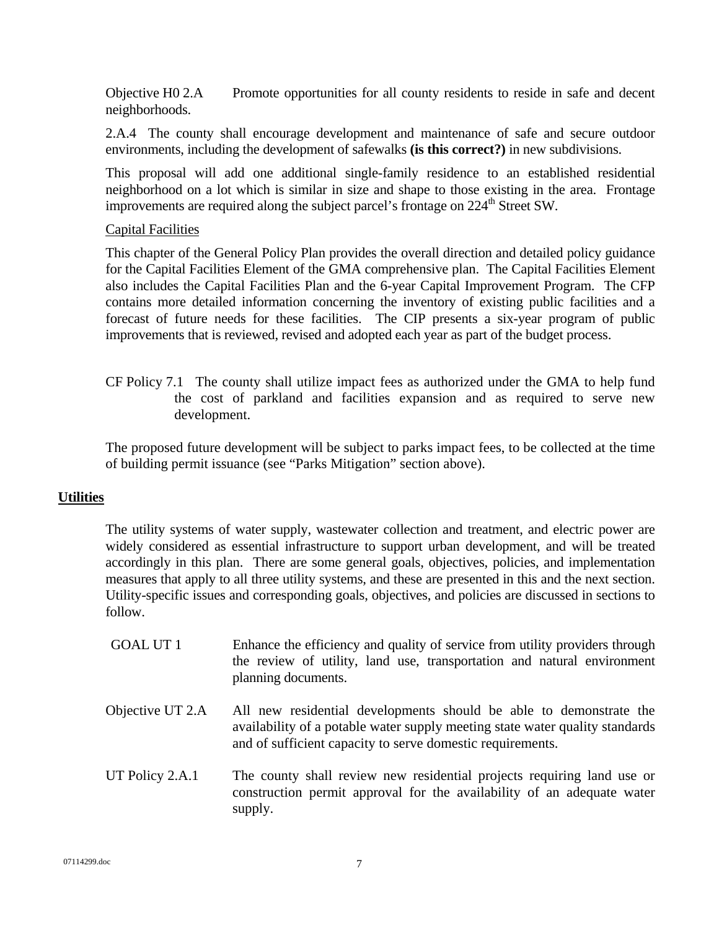Objective H0 2.A Promote opportunities for all county residents to reside in safe and decent neighborhoods.

 2.A.4 The county shall encourage development and maintenance of safe and secure outdoor environments, including the development of safewalks **(is this correct?)** in new subdivisions.

This proposal will add one additional single-family residence to an established residential neighborhood on a lot which is similar in size and shape to those existing in the area. Frontage improvements are required along the subject parcel's frontage on  $224<sup>th</sup>$  Street SW.

### Capital Facilities

This chapter of the General Policy Plan provides the overall direction and detailed policy guidance for the Capital Facilities Element of the GMA comprehensive plan. The Capital Facilities Element also includes the Capital Facilities Plan and the 6-year Capital Improvement Program. The CFP contains more detailed information concerning the inventory of existing public facilities and a forecast of future needs for these facilities. The CIP presents a six-year program of public improvements that is reviewed, revised and adopted each year as part of the budget process.

 CF Policy 7.1 The county shall utilize impact fees as authorized under the GMA to help fund the cost of parkland and facilities expansion and as required to serve new development.

The proposed future development will be subject to parks impact fees, to be collected at the time of building permit issuance (see "Parks Mitigation" section above).

### **Utilities**

The utility systems of water supply, wastewater collection and treatment, and electric power are widely considered as essential infrastructure to support urban development, and will be treated accordingly in this plan. There are some general goals, objectives, policies, and implementation measures that apply to all three utility systems, and these are presented in this and the next section. Utility-specific issues and corresponding goals, objectives, and policies are discussed in sections to follow.

- GOAL UT 1 Enhance the efficiency and quality of service from utility providers through the review of utility, land use, transportation and natural environment planning documents.
- Objective UT 2.A All new residential developments should be able to demonstrate the availability of a potable water supply meeting state water quality standards and of sufficient capacity to serve domestic requirements.
- UT Policy 2.A.1 The county shall review new residential projects requiring land use or construction permit approval for the availability of an adequate water supply.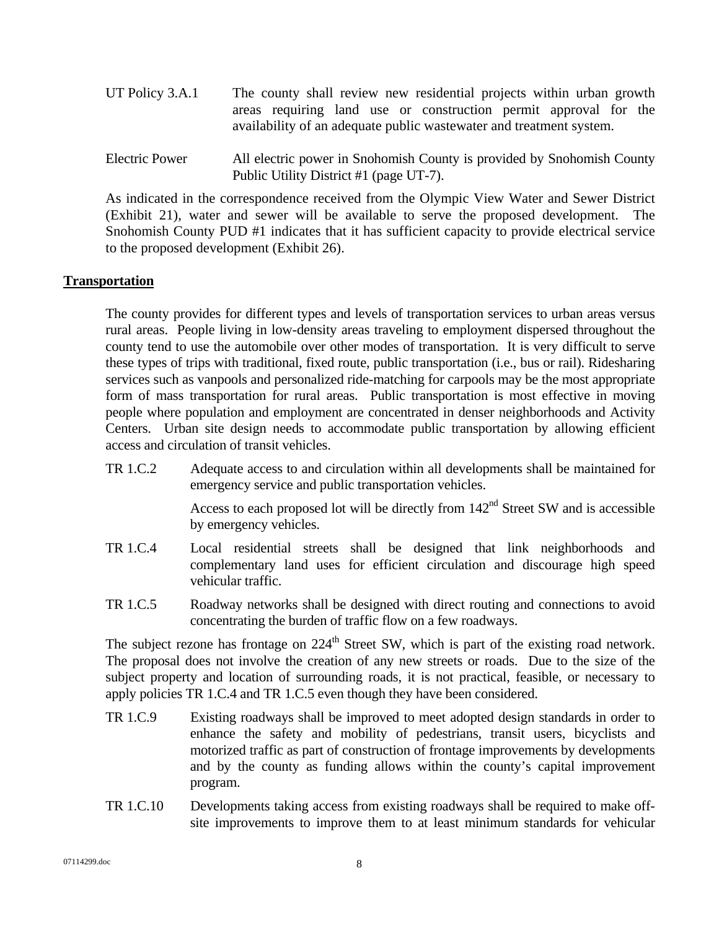- UT Policy 3.A.1 The county shall review new residential projects within urban growth areas requiring land use or construction permit approval for the availability of an adequate public wastewater and treatment system.
- Electric Power All electric power in Snohomish County is provided by Snohomish County Public Utility District #1 (page UT-7).

As indicated in the correspondence received from the Olympic View Water and Sewer District (Exhibit 21), water and sewer will be available to serve the proposed development. The Snohomish County PUD #1 indicates that it has sufficient capacity to provide electrical service to the proposed development (Exhibit 26).

### **Transportation**

The county provides for different types and levels of transportation services to urban areas versus rural areas. People living in low-density areas traveling to employment dispersed throughout the county tend to use the automobile over other modes of transportation. It is very difficult to serve these types of trips with traditional, fixed route, public transportation (i.e., bus or rail). Ridesharing services such as vanpools and personalized ride-matching for carpools may be the most appropriate form of mass transportation for rural areas. Public transportation is most effective in moving people where population and employment are concentrated in denser neighborhoods and Activity Centers. Urban site design needs to accommodate public transportation by allowing efficient access and circulation of transit vehicles.

TR 1.C.2 Adequate access to and circulation within all developments shall be maintained for emergency service and public transportation vehicles.

> Access to each proposed lot will be directly from  $142<sup>nd</sup>$  Street SW and is accessible by emergency vehicles.

- TR 1.C.4 Local residential streets shall be designed that link neighborhoods and complementary land uses for efficient circulation and discourage high speed vehicular traffic.
- TR 1.C.5 Roadway networks shall be designed with direct routing and connections to avoid concentrating the burden of traffic flow on a few roadways.

The subject rezone has frontage on  $224<sup>th</sup>$  Street SW, which is part of the existing road network. The proposal does not involve the creation of any new streets or roads. Due to the size of the subject property and location of surrounding roads, it is not practical, feasible, or necessary to apply policies TR 1.C.4 and TR 1.C.5 even though they have been considered.

- TR 1.C.9 Existing roadways shall be improved to meet adopted design standards in order to enhance the safety and mobility of pedestrians, transit users, bicyclists and motorized traffic as part of construction of frontage improvements by developments and by the county as funding allows within the county's capital improvement program.
- TR 1.C.10 Developments taking access from existing roadways shall be required to make offsite improvements to improve them to at least minimum standards for vehicular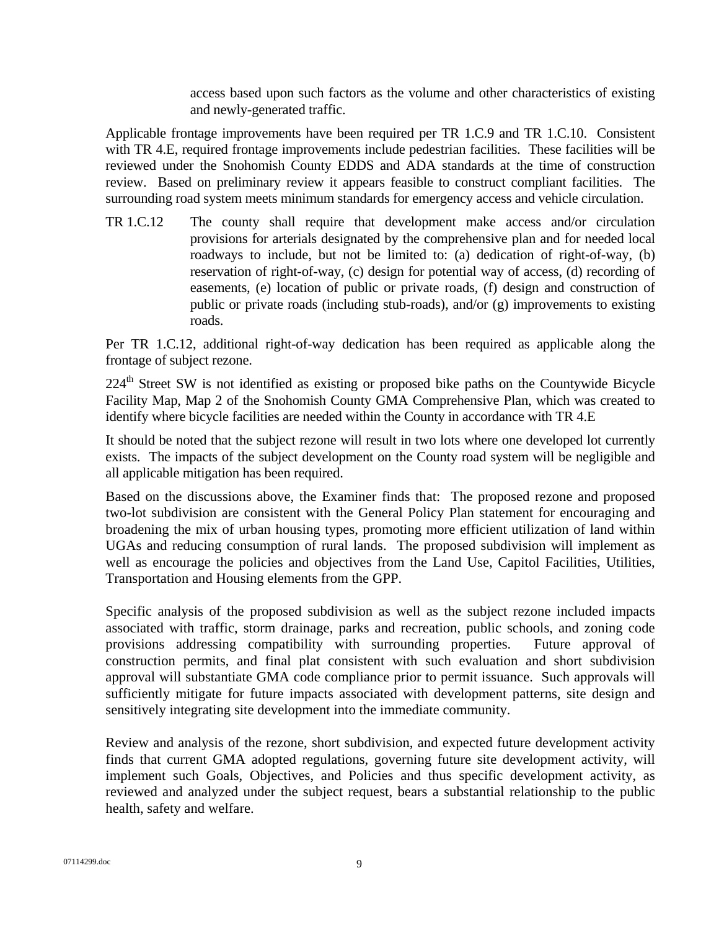access based upon such factors as the volume and other characteristics of existing and newly-generated traffic.

Applicable frontage improvements have been required per TR 1.C.9 and TR 1.C.10. Consistent with TR 4.E, required frontage improvements include pedestrian facilities. These facilities will be reviewed under the Snohomish County EDDS and ADA standards at the time of construction review. Based on preliminary review it appears feasible to construct compliant facilities. The surrounding road system meets minimum standards for emergency access and vehicle circulation.

TR 1.C.12 The county shall require that development make access and/or circulation provisions for arterials designated by the comprehensive plan and for needed local roadways to include, but not be limited to: (a) dedication of right-of-way, (b) reservation of right-of-way, (c) design for potential way of access, (d) recording of easements, (e) location of public or private roads, (f) design and construction of public or private roads (including stub-roads), and/or (g) improvements to existing roads.

Per TR 1.C.12, additional right-of-way dedication has been required as applicable along the frontage of subject rezone.

224<sup>th</sup> Street SW is not identified as existing or proposed bike paths on the Countywide Bicycle Facility Map, Map 2 of the Snohomish County GMA Comprehensive Plan, which was created to identify where bicycle facilities are needed within the County in accordance with TR 4.E

It should be noted that the subject rezone will result in two lots where one developed lot currently exists. The impacts of the subject development on the County road system will be negligible and all applicable mitigation has been required.

Based on the discussions above, the Examiner finds that: The proposed rezone and proposed two-lot subdivision are consistent with the General Policy Plan statement for encouraging and broadening the mix of urban housing types, promoting more efficient utilization of land within UGAs and reducing consumption of rural lands. The proposed subdivision will implement as well as encourage the policies and objectives from the Land Use, Capitol Facilities, Utilities, Transportation and Housing elements from the GPP.

Specific analysis of the proposed subdivision as well as the subject rezone included impacts associated with traffic, storm drainage, parks and recreation, public schools, and zoning code provisions addressing compatibility with surrounding properties. Future approval of construction permits, and final plat consistent with such evaluation and short subdivision approval will substantiate GMA code compliance prior to permit issuance. Such approvals will sufficiently mitigate for future impacts associated with development patterns, site design and sensitively integrating site development into the immediate community.

Review and analysis of the rezone, short subdivision, and expected future development activity finds that current GMA adopted regulations, governing future site development activity, will implement such Goals, Objectives, and Policies and thus specific development activity, as reviewed and analyzed under the subject request, bears a substantial relationship to the public health, safety and welfare.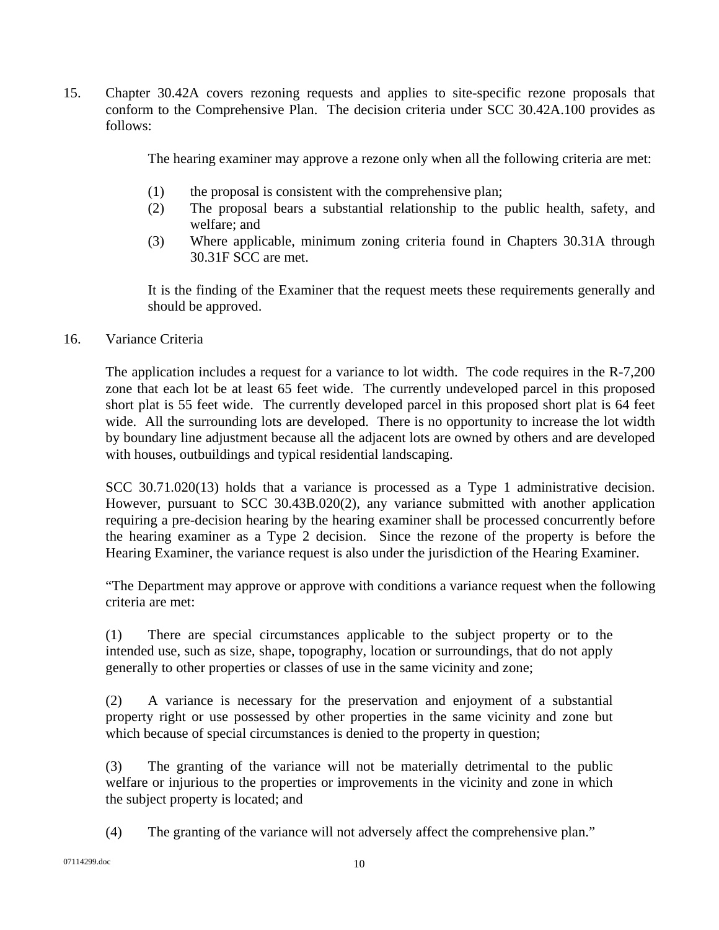15. Chapter 30.42A covers rezoning requests and applies to site-specific rezone proposals that conform to the Comprehensive Plan. The decision criteria under SCC 30.42A.100 provides as follows:

The hearing examiner may approve a rezone only when all the following criteria are met:

- (1) the proposal is consistent with the comprehensive plan;
- (2) The proposal bears a substantial relationship to the public health, safety, and welfare; and
- (3) Where applicable, minimum zoning criteria found in Chapters 30.31A through 30.31F SCC are met.

It is the finding of the Examiner that the request meets these requirements generally and should be approved.

### 16. Variance Criteria

The application includes a request for a variance to lot width. The code requires in the R-7,200 zone that each lot be at least 65 feet wide. The currently undeveloped parcel in this proposed short plat is 55 feet wide. The currently developed parcel in this proposed short plat is 64 feet wide. All the surrounding lots are developed. There is no opportunity to increase the lot width by boundary line adjustment because all the adjacent lots are owned by others and are developed with houses, outbuildings and typical residential landscaping.

SCC 30.71.020(13) holds that a variance is processed as a Type 1 administrative decision. However, pursuant to SCC 30.43B.020(2), any variance submitted with another application requiring a pre-decision hearing by the hearing examiner shall be processed concurrently before the hearing examiner as a Type 2 decision. Since the rezone of the property is before the Hearing Examiner, the variance request is also under the jurisdiction of the Hearing Examiner.

"The Department may approve or approve with conditions a variance request when the following criteria are met:

(1) There are special circumstances applicable to the subject property or to the intended use, such as size, shape, topography, location or surroundings, that do not apply generally to other properties or classes of use in the same vicinity and zone;

(2) A variance is necessary for the preservation and enjoyment of a substantial property right or use possessed by other properties in the same vicinity and zone but which because of special circumstances is denied to the property in question;

(3) The granting of the variance will not be materially detrimental to the public welfare or injurious to the properties or improvements in the vicinity and zone in which the subject property is located; and

(4) The granting of the variance will not adversely affect the comprehensive plan."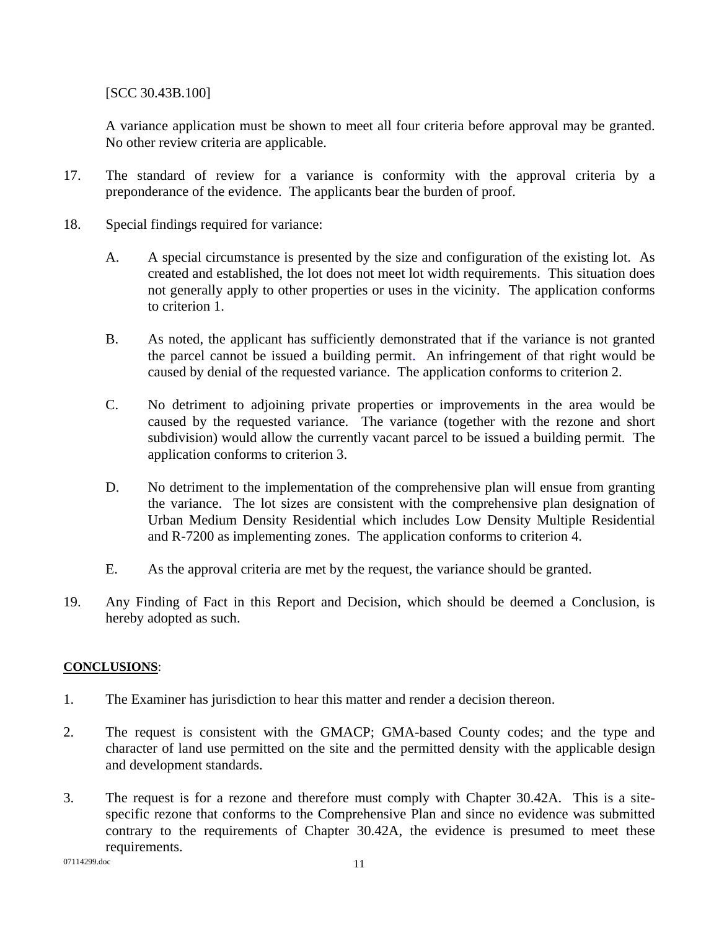[SCC 30.43B.100]

A variance application must be shown to meet all four criteria before approval may be granted. No other review criteria are applicable.

- 17. The standard of review for a variance is conformity with the approval criteria by a preponderance of the evidence. The applicants bear the burden of proof.
- 18. Special findings required for variance:
	- A. A special circumstance is presented by the size and configuration of the existing lot. As created and established, the lot does not meet lot width requirements. This situation does not generally apply to other properties or uses in the vicinity. The application conforms to criterion 1.
	- B. As noted, the applicant has sufficiently demonstrated that if the variance is not granted the parcel cannot be issued a building permit. An infringement of that right would be caused by denial of the requested variance. The application conforms to criterion 2.
	- C. No detriment to adjoining private properties or improvements in the area would be caused by the requested variance. The variance (together with the rezone and short subdivision) would allow the currently vacant parcel to be issued a building permit. The application conforms to criterion 3.
	- D. No detriment to the implementation of the comprehensive plan will ensue from granting the variance. The lot sizes are consistent with the comprehensive plan designation of Urban Medium Density Residential which includes Low Density Multiple Residential and R-7200 as implementing zones. The application conforms to criterion 4.
	- E. As the approval criteria are met by the request, the variance should be granted.
- 19. Any Finding of Fact in this Report and Decision, which should be deemed a Conclusion, is hereby adopted as such.

## **CONCLUSIONS**:

- 1. The Examiner has jurisdiction to hear this matter and render a decision thereon.
- 2. The request is consistent with the GMACP; GMA-based County codes; and the type and character of land use permitted on the site and the permitted density with the applicable design and development standards.
- 3. The request is for a rezone and therefore must comply with Chapter 30.42A. This is a sitespecific rezone that conforms to the Comprehensive Plan and since no evidence was submitted contrary to the requirements of Chapter 30.42A, the evidence is presumed to meet these requirements.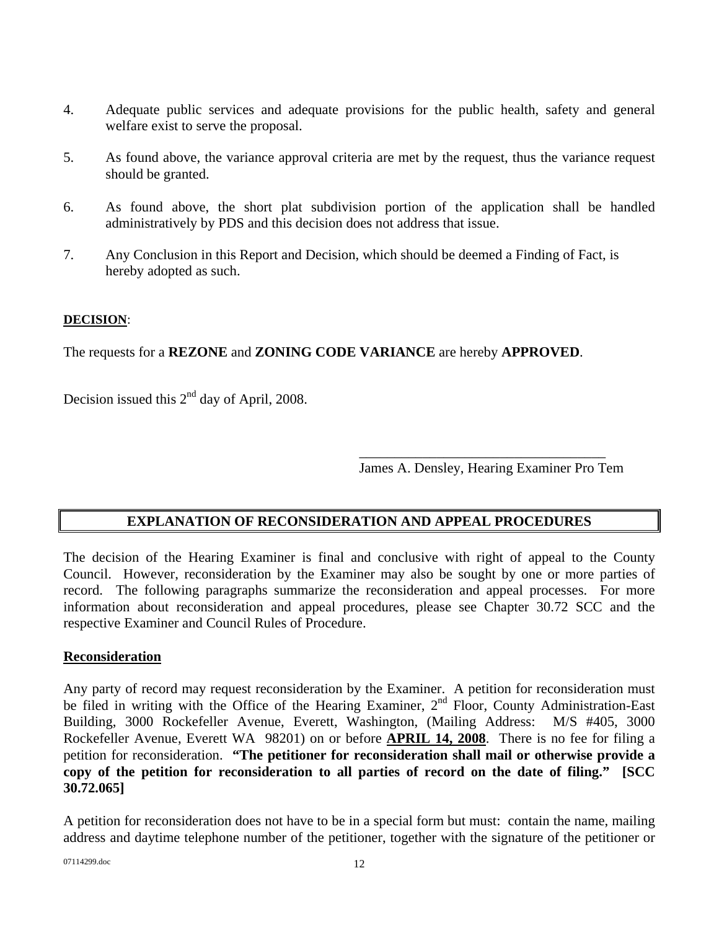- 4. Adequate public services and adequate provisions for the public health, safety and general welfare exist to serve the proposal.
- 5. As found above, the variance approval criteria are met by the request, thus the variance request should be granted.
- 6. As found above, the short plat subdivision portion of the application shall be handled administratively by PDS and this decision does not address that issue.
- 7. Any Conclusion in this Report and Decision, which should be deemed a Finding of Fact, is hereby adopted as such.

## **DECISION**:

The requests for a **REZONE** and **ZONING CODE VARIANCE** are hereby **APPROVED**.

 $\overline{\phantom{a}}$  , which is a set of the set of the set of the set of the set of the set of the set of the set of the set of the set of the set of the set of the set of the set of the set of the set of the set of the set of th

Decision issued this 2<sup>nd</sup> day of April, 2008.

James A. Densley, Hearing Examiner Pro Tem

## **EXPLANATION OF RECONSIDERATION AND APPEAL PROCEDURES**

The decision of the Hearing Examiner is final and conclusive with right of appeal to the County Council. However, reconsideration by the Examiner may also be sought by one or more parties of record. The following paragraphs summarize the reconsideration and appeal processes. For more information about reconsideration and appeal procedures, please see Chapter 30.72 SCC and the respective Examiner and Council Rules of Procedure.

### **Reconsideration**

Any party of record may request reconsideration by the Examiner. A petition for reconsideration must be filed in writing with the Office of the Hearing Examiner, 2<sup>nd</sup> Floor, County Administration-East Building, 3000 Rockefeller Avenue, Everett, Washington, (Mailing Address: M/S #405, 3000 Rockefeller Avenue, Everett WA 98201) on or before **APRIL 14, 2008**. There is no fee for filing a petition for reconsideration. **"The petitioner for reconsideration shall mail or otherwise provide a copy of the petition for reconsideration to all parties of record on the date of filing." [SCC 30.72.065]**

A petition for reconsideration does not have to be in a special form but must: contain the name, mailing address and daytime telephone number of the petitioner, together with the signature of the petitioner or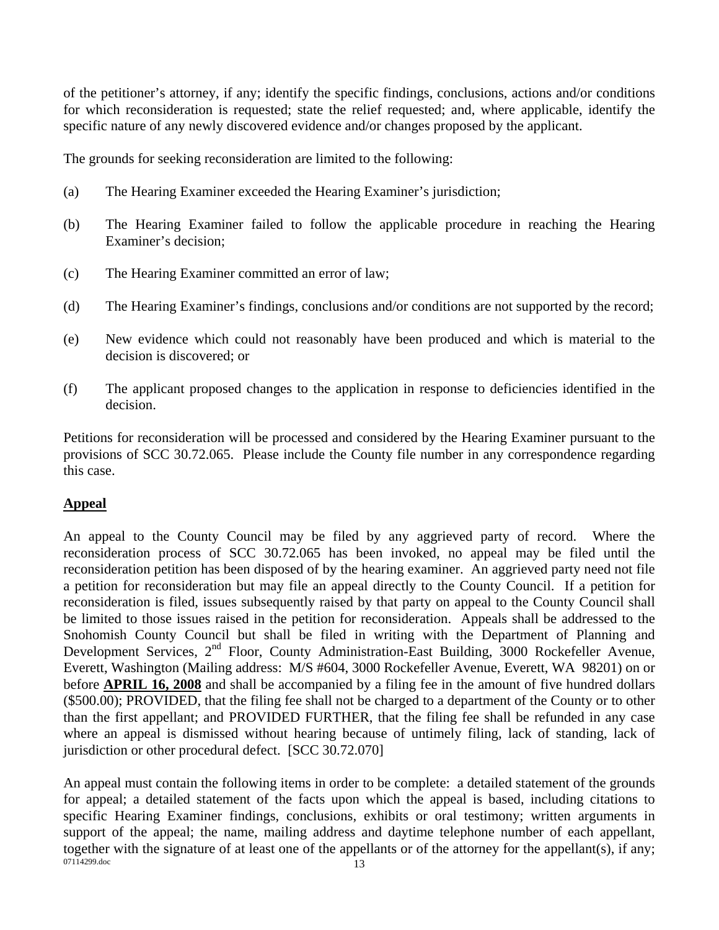of the petitioner's attorney, if any; identify the specific findings, conclusions, actions and/or conditions for which reconsideration is requested; state the relief requested; and, where applicable, identify the specific nature of any newly discovered evidence and/or changes proposed by the applicant.

The grounds for seeking reconsideration are limited to the following:

- (a) The Hearing Examiner exceeded the Hearing Examiner's jurisdiction;
- (b) The Hearing Examiner failed to follow the applicable procedure in reaching the Hearing Examiner's decision;
- (c) The Hearing Examiner committed an error of law;
- (d) The Hearing Examiner's findings, conclusions and/or conditions are not supported by the record;
- (e) New evidence which could not reasonably have been produced and which is material to the decision is discovered; or
- (f) The applicant proposed changes to the application in response to deficiencies identified in the decision.

Petitions for reconsideration will be processed and considered by the Hearing Examiner pursuant to the provisions of SCC 30.72.065. Please include the County file number in any correspondence regarding this case.

### **Appeal**

An appeal to the County Council may be filed by any aggrieved party of record. Where the reconsideration process of SCC 30.72.065 has been invoked, no appeal may be filed until the reconsideration petition has been disposed of by the hearing examiner. An aggrieved party need not file a petition for reconsideration but may file an appeal directly to the County Council. If a petition for reconsideration is filed, issues subsequently raised by that party on appeal to the County Council shall be limited to those issues raised in the petition for reconsideration. Appeals shall be addressed to the Snohomish County Council but shall be filed in writing with the Department of Planning and Development Services, 2<sup>nd</sup> Floor, County Administration-East Building, 3000 Rockefeller Avenue, Everett, Washington (Mailing address: M/S #604, 3000 Rockefeller Avenue, Everett, WA 98201) on or before **APRIL 16, 2008** and shall be accompanied by a filing fee in the amount of five hundred dollars (\$500.00); PROVIDED, that the filing fee shall not be charged to a department of the County or to other than the first appellant; and PROVIDED FURTHER, that the filing fee shall be refunded in any case where an appeal is dismissed without hearing because of untimely filing, lack of standing, lack of jurisdiction or other procedural defect. [SCC 30.72.070]

07114299.doc 13 An appeal must contain the following items in order to be complete: a detailed statement of the grounds for appeal; a detailed statement of the facts upon which the appeal is based, including citations to specific Hearing Examiner findings, conclusions, exhibits or oral testimony; written arguments in support of the appeal; the name, mailing address and daytime telephone number of each appellant, together with the signature of at least one of the appellants or of the attorney for the appellant(s), if any;